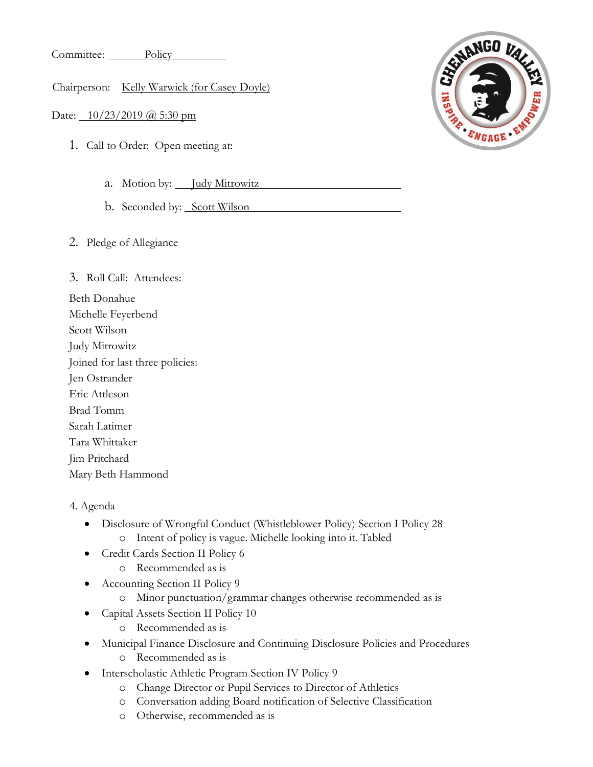Committee: Policy

Chairperson: Kelly Warwick (for Casey Doyle)

Date: 10/23/2019 @ 5:30 pm

- 1. Call to Order: Open meeting at:
	- a. Motion by: Judy Mitrowitz
	- b. Seconded by: Scott Wilson
- 2. Pledge of Allegiance

3. Roll Call: Attendees:

- Beth Donahue Michelle Feyerbend Scott Wilson Judy Mitrowitz Joined for last three policies: Jen Ostrander Eric Attleson Brad Tomm Sarah Latimer Tara Whittaker Jim Pritchard Mary Beth Hammond
- 4. Agenda
	- Disclosure of Wrongful Conduct (Whistleblower Policy) Section I Policy 28 o Intent of policy is vague. Michelle looking into it. Tabled
	- Credit Cards Section II Policy 6
		- o Recommended as is
	- Accounting Section II Policy 9
		- o Minor punctuation/grammar changes otherwise recommended as is
	- Capital Assets Section II Policy 10
		- o Recommended as is
	- Municipal Finance Disclosure and Continuing Disclosure Policies and Procedures
		- o Recommended as is
	- Interscholastic Athletic Program Section IV Policy 9
		- o Change Director or Pupil Services to Director of Athletics
		- o Conversation adding Board notification of Selective Classification
		- o Otherwise, recommended as is